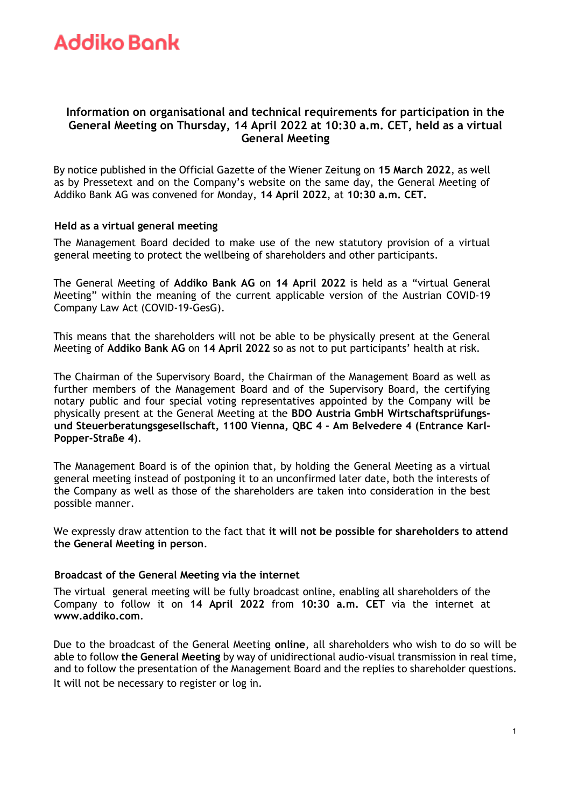### **Information on organisational and technical requirements for participation in the General Meeting on Thursday, 14 April 2022 at 10:30 a.m. CET, held as a virtual General Meeting**

By notice published in the Official Gazette of the Wiener Zeitung on **15 March 2022**, as well as by Pressetext and on the Company's website on the same day, the General Meeting of Addiko Bank AG was convened for Monday, **14 April 2022**, at **10:30 a.m. CET.**

### **Held as a virtual general meeting**

The Management Board decided to make use of the new statutory provision of a virtual general meeting to protect the wellbeing of shareholders and other participants.

The General Meeting of **Addiko Bank AG** on **14 April 2022** is held as a "virtual General Meeting" within the meaning of the current applicable version of the Austrian COVID-19 Company Law Act (COVID-19-GesG).

This means that the shareholders will not be able to be physically present at the General Meeting of **Addiko Bank AG** on **14 April 2022** so as not to put participants' health at risk.

The Chairman of the Supervisory Board, the Chairman of the Management Board as well as further members of the Management Board and of the Supervisory Board, the certifying notary public and four special voting representatives appointed by the Company will be physically present at the General Meeting at the **BDO Austria GmbH Wirtschaftsprüfungsund Steuerberatungsgesellschaft, 1100 Vienna, QBC 4 - Am Belvedere 4 (Entrance Karl-Popper-Straße 4)**.

The Management Board is of the opinion that, by holding the General Meeting as a virtual general meeting instead of postponing it to an unconfirmed later date, both the interests of the Company as well as those of the shareholders are taken into consideration in the best possible manner.

We expressly draw attention to the fact that **it will not be possible for shareholders to attend the General Meeting in person**.

#### **Broadcast of the General Meeting via the internet**

The virtual general meeting will be fully broadcast online, enabling all shareholders of the Company to follow it on **14 April 2022** from **10:30 a.m. CET** via the internet at **[www.addiko.com](http://www.addiko.com/)**[.](http://www.addiko.com/)

Due to the broadcast of the General Meeting **online**, all shareholders who wish to do so will be able to follow **the General Meeting** by way of unidirectional audio-visual transmission in real time, and to follow the presentation of the Management Board and the replies to shareholder questions. It will not be necessary to register or log in.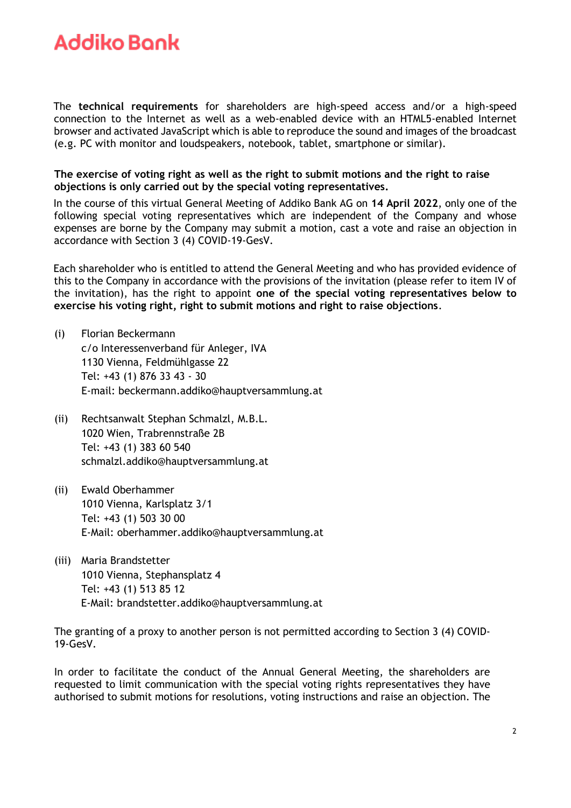The **technical requirements** for shareholders are high-speed access and/or a high-speed connection to the Internet as well as a web-enabled device with an HTML5-enabled Internet browser and activated JavaScript which is able to reproduce the sound and images of the broadcast (e.g. PC with monitor and loudspeakers, notebook, tablet, smartphone or similar).

**The exercise of voting right as well as the right to submit motions and the right to raise objections is only carried out by the special voting representatives.**

In the course of this virtual General Meeting of Addiko Bank AG on **14 April 2022**, only one of the following special voting representatives which are independent of the Company and whose expenses are borne by the Company may submit a motion, cast a vote and raise an objection in accordance with Section 3 (4) COVID-19-GesV.

Each shareholder who is entitled to attend the General Meeting and who has provided evidence of this to the Company in accordance with the provisions of the invitation (please refer to item IV of the invitation), has the right to appoint **one of the special voting representatives below to exercise his voting right, right to submit motions and right to raise objections**.

- (i) Florian Beckermann c/o Interessenverband für Anleger, IVA 1130 Vienna, Feldmühlgasse 22 Tel: +43 (1) 876 33 43 - 30 E-mail: [beckermann.addiko@hauptversammlung.at](mailto:beckermann.addiko@hauptversammlung.at)
- (ii) Rechtsanwalt Stephan Schmalzl, M.B.L. 1020 Wien, Trabrennstraße 2B Tel: +43 (1) 383 60 540 [schmalzl.addiko@hauptversammlung.at](mailto:schmalzl.addiko@hauptversammlung.at)
- (ii) Ewald Oberhammer 1010 Vienna, Karlsplatz 3/1 Tel: +43 (1) 503 30 00 E-Mail: [oberhammer.addiko@hauptversammlung.at](mailto:oberhammer.addiko@hauptversammlung.at)
- (iii) Maria Brandstetter 1010 Vienna, Stephansplatz 4 Tel: +43 (1) 513 85 12 E-Mail: [brandstetter.addiko@hauptversammlung.at](mailto:brandstetter.addiko@hauptversammlung.at)

The granting of a proxy to another person is not permitted according to Section 3 (4) COVID-19-GesV.

In order to facilitate the conduct of the Annual General Meeting, the shareholders are requested to limit communication with the special voting rights representatives they have authorised to submit motions for resolutions, voting instructions and raise an objection. The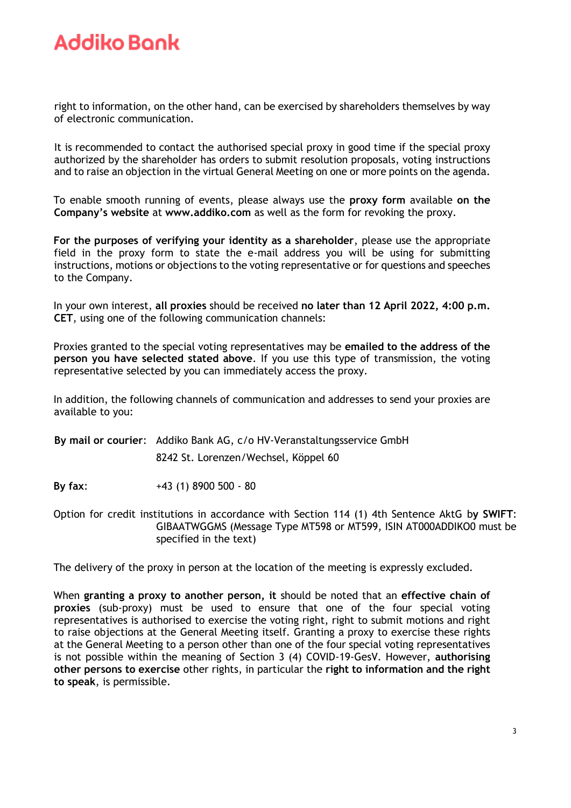right to information, on the other hand, can be exercised by shareholders themselves by way of electronic communication.

It is recommended to contact the authorised special proxy in good time if the special proxy authorized by the shareholder has orders to submit resolution proposals, voting instructions and to raise an objection in the virtual General Meeting on one or more points on the agenda.

To enable smooth running of events, please always use the **proxy form** available **on the Company's website** at **[www.addiko.com](http://www.addiko.com/)** as well as the form for revoking the proxy.

**For the purposes of verifying your identity as a shareholder**, please use the appropriate field in the proxy form to state the e-mail address you will be using for submitting instructions, motions or objections to the voting representative or for questions and speeches to the Company.

In your own interest, **all proxies** should be received **no later than 12 April 2022, 4:00 p.m. CET**, using one of the following communication channels:

Proxies granted to the special voting representatives may be **emailed to the address of the person you have selected stated above**. If you use this type of transmission, the voting representative selected by you can immediately access the proxy.

In addition, the following channels of communication and addresses to send your proxies are available to you:

**By mail or courier**: Addiko Bank AG, c/o HV-Veranstaltungsservice GmbH 8242 St. Lorenzen/Wechsel, Köppel 60

**By fax**: +43 (1) 8900 500 - 80

Option for credit institutions in accordance with Section 114 (1) 4th Sentence AktG b**y SWIFT**: GIBAATWGGMS (Message Type MT598 or MT599, ISIN AT000ADDIKO0 must be specified in the text)

The delivery of the proxy in person at the location of the meeting is expressly excluded.

When **granting a proxy to another person, it** should be noted that an **effective chain of proxies** (sub-proxy) must be used to ensure that one of the four special voting representatives is authorised to exercise the voting right, right to submit motions and right to raise objections at the General Meeting itself. Granting a proxy to exercise these rights at the General Meeting to a person other than one of the four special voting representatives is not possible within the meaning of Section 3 (4) COVID-19-GesV. However, **authorising other persons to exercise** other rights, in particular the **right to information and the right to speak**, is permissible.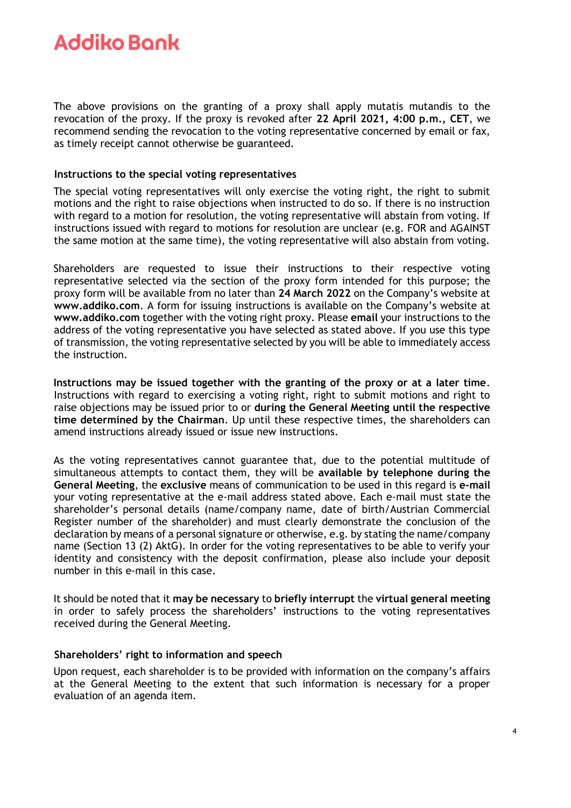The above provisions on the granting of a proxy shall apply mutatis mutandis to the revocation of the proxy. If the proxy is revoked after **22 April 2021, 4:00 p.m., CET**, we recommend sending the revocation to the voting representative concerned by email or fax, as timely receipt cannot otherwise be guaranteed.

### **Instructions to the special voting representatives**

The special voting representatives will only exercise the voting right, the right to submit motions and the right to raise objections when instructed to do so. If there is no instruction with regard to a motion for resolution, the voting representative will abstain from voting. If instructions issued with regard to motions for resolution are unclear (e.g. FOR and AGAINST the same motion at the same time), the voting representative will also abstain from voting.

Shareholders are requested to issue their instructions to their respective voting representative selected via the section of the proxy form intended for this purpose; the proxy form will be available from no later than **24 March 2022** on the Company's website at **www.addiko.com**. A form for issuing instructions is available on the Company's website at **www.addiko.com** together with the voting right proxy. Please **email** your instructions to the address of the voting representative you have selected as stated above. If you use this type of transmission, the voting representative selected by you will be able to immediately access the instruction.

**Instructions may be issued together with the granting of the proxy or at a later time**. Instructions with regard to exercising a voting right, right to submit motions and right to raise objections may be issued prior to or **during the General Meeting until the respective time determined by the Chairman**. Up until these respective times, the shareholders can amend instructions already issued or issue new instructions.

As the voting representatives cannot guarantee that, due to the potential multitude of simultaneous attempts to contact them, they will be **available by telephone during the General Meeting**, the **exclusive** means of communication to be used in this regard is **e-mail** your voting representative at the e-mail address stated above. Each e-mail must state the shareholder's personal details (name/company name, date of birth/Austrian Commercial Register number of the shareholder) and must clearly demonstrate the conclusion of the declaration by means of a personal signature or otherwise, e.g. by stating the name/company name (Section 13 (2) AktG). In order for the voting representatives to be able to verify your identity and consistency with the deposit confirmation, please also include your deposit number in this e-mail in this case.

It should be noted that it **may be necessary** to **briefly interrupt** the **virtual general meeting**  in order to safely process the shareholders' instructions to the voting representatives received during the General Meeting.

#### **Shareholders' right to information and speech**

Upon request, each shareholder is to be provided with information on the company's affairs at the General Meeting to the extent that such information is necessary for a proper evaluation of an agenda item.